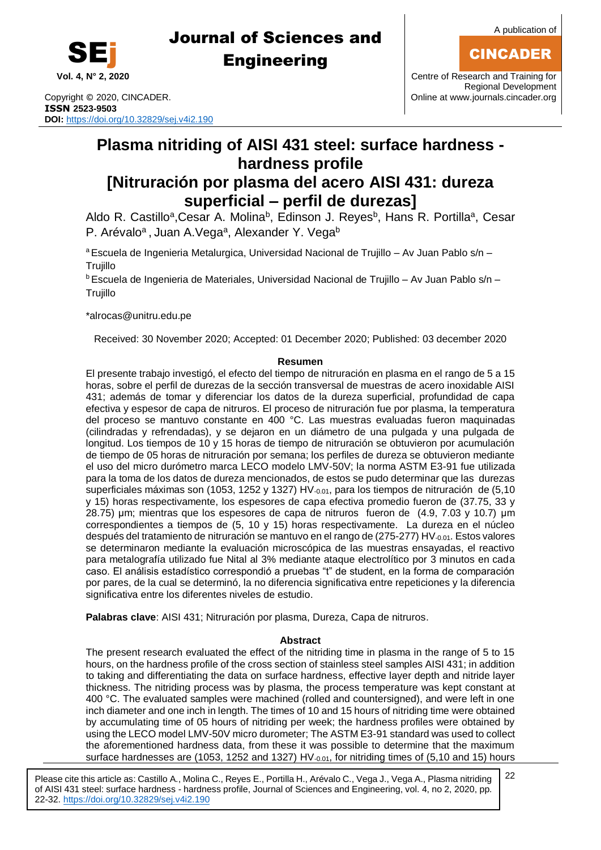

Copyright © 2020, CINCADER. COME CONSERVERSITY CONFIDENT RANGEMENT CONFIDENT RANGEMENT CONFIDENT RANGEMENT CON **ISSN 2523-9503 DOI:** <https://doi.org/10.32829/sej.v4i2.190>

**Vol. 4, N° 2, 2020** Centre of Research and Training for Regional Development

## **Plasma nitriding of AISI 431 steel: surface hardness hardness profile [Nitruración por plasma del acero AISI 431: dureza**

## **superficial – perfil de durezas]**

Aldo R. Castillo<sup>a</sup>, Cesar A. Molina<sup>b</sup>, Edinson J. Reyes<sup>b</sup>, Hans R. Portilla<sup>a</sup>, Cesar P. Arévalo<sup>a</sup>, Juan A.Vega<sup>a</sup>, Alexander Y. Vega<sup>b</sup>

<sup>a</sup> Escuela de Ingenieria Metalurgica, Universidad Nacional de Trujillo - Av Juan Pablo s/n -**Trujillo** 

<sup>b</sup> Escuela de Ingenieria de Materiales, Universidad Nacional de Trujillo – Av Juan Pablo s/n – Trujillo

\*alroca[s@unitru.edu.pe](mailto:samu@uom.lk)

Received: 30 November 2020; Accepted: 01 December 2020; Published: 03 december 2020

#### **Resumen**

El presente trabajo investigó, el efecto del tiempo de nitruración en plasma en el rango de 5 a 15 horas, sobre el perfil de durezas de la sección transversal de muestras de acero inoxidable AISI 431; además de tomar y diferenciar los datos de la dureza superficial, profundidad de capa efectiva y espesor de capa de nitruros. El proceso de nitruración fue por plasma, la temperatura del proceso se mantuvo constante en 400 °C. Las muestras evaluadas fueron maquinadas (cilindradas y refrendadas), y se dejaron en un diámetro de una pulgada y una pulgada de longitud. Los tiempos de 10 y 15 horas de tiempo de nitruración se obtuvieron por acumulación de tiempo de 05 horas de nitruración por semana; los perfiles de dureza se obtuvieron mediante el uso del micro durómetro marca LECO modelo LMV-50V; la norma ASTM E3-91 fue utilizada para la toma de los datos de dureza mencionados, de estos se pudo determinar que las durezas superficiales máximas son (1053, 1252 y 1327) HV- $_{0.01}$ , para los tiempos de nitruración de (5,10 y 15) horas respectivamente, los espesores de capa efectiva promedio fueron de (37.75, 33 y 28.75) μm; mientras que los espesores de capa de nitruros fueron de (4.9, 7.03 y 10.7) μm correspondientes a tiempos de (5, 10 y 15) horas respectivamente. La dureza en el núcleo después del tratamiento de nitruración se mantuvo en el rango de (275-277) HV-0.01. Estos valores se determinaron mediante la evaluación microscópica de las muestras ensayadas, el reactivo para metalografía utilizado fue Nital al 3% mediante ataque electrolítico por 3 minutos en cada caso. El análisis estadístico correspondió a pruebas "t" de student, en la forma de comparación por pares, de la cual se determinó, la no diferencia significativa entre repeticiones y la diferencia significativa entre los diferentes niveles de estudio.

**Palabras clave**: AISI 431; Nitruración por plasma, Dureza, Capa de nitruros.

### **Abstract**

The present research evaluated the effect of the nitriding time in plasma in the range of 5 to 15 hours, on the hardness profile of the cross section of stainless steel samples AISI 431; in addition to taking and differentiating the data on surface hardness, effective layer depth and nitride layer thickness. The nitriding process was by plasma, the process temperature was kept constant at 400 °C. The evaluated samples were machined (rolled and countersigned), and were left in one inch diameter and one inch in length. The times of 10 and 15 hours of nitriding time were obtained by accumulating time of 05 hours of nitriding per week; the hardness profiles were obtained by using the LECO model LMV-50V micro durometer; The ASTM E3-91 standard was used to collect the aforementioned hardness data, from these it was possible to determine that the maximum surface hardnesses are (1053, 1252 and 1327) HV-0.01, for nitriding times of (5,10 and 15) hours

Please cite this article as: Castillo A., Molina C., Reyes E., Portilla H., Arévalo C., Vega J., Vega A., Plasma nitriding of AISI 431 steel: surface hardness - hardness profile, Journal of Sciences and Engineering, vol. 4, no 2, 2020, pp. 22-32. <https://doi.org/10.32829/sej.v4i2.190>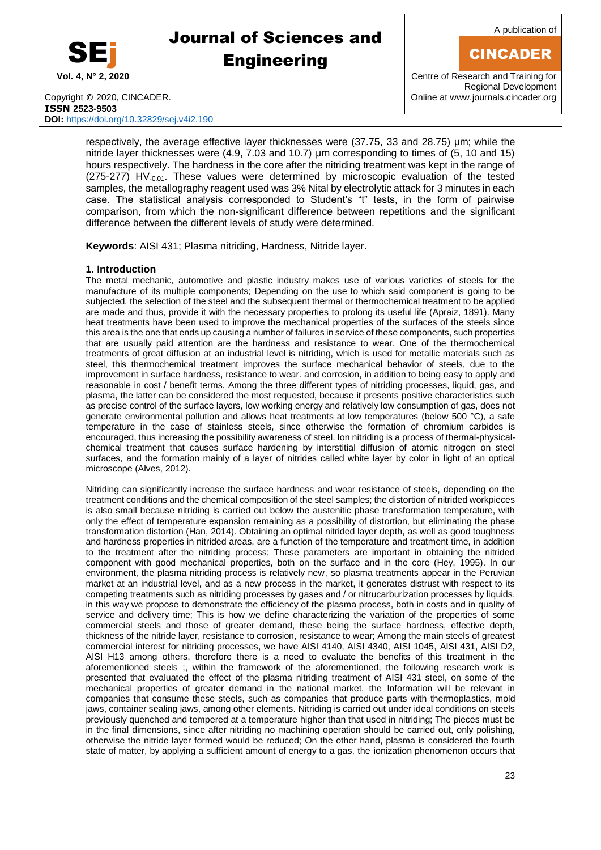

A publication of

### CINCADER

Copyright © 2020, CINCADER. COME CONSERVENTING CONTROL CONTROL CONTROL CONTROL CONTROL CONTROL CONTROL CONTROL CONTROL CONTROL CONTROL CONTROL CONTROL CONTROL CONTROL CONTROL CONTROL CONTROL CONTROL CONTROL CONTROL CONTROL **ISSN 2523-9503 DOI:** <https://doi.org/10.32829/sej.v4i2.190>

**Vol. 4, N° 2, 2020** Centre of Research and Training for Regional Development

respectively, the average effective layer thicknesses were (37.75, 33 and 28.75) μm; while the nitride layer thicknesses were (4.9, 7.03 and 10.7) μm corresponding to times of (5, 10 and 15) hours respectively. The hardness in the core after the nitriding treatment was kept in the range of  $(275-277)$  HV- $0.01$ . These values were determined by microscopic evaluation of the tested samples, the metallography reagent used was 3% Nital by electrolytic attack for 3 minutes in each case. The statistical analysis corresponded to Student's "t" tests, in the form of pairwise comparison, from which the non-significant difference between repetitions and the significant difference between the different levels of study were determined.

**Keywords**: AISI 431; Plasma nitriding, Hardness, Nitride layer.

#### **1. Introduction**

The metal mechanic, automotive and plastic industry makes use of various varieties of steels for the manufacture of its multiple components; Depending on the use to which said component is going to be subjected, the selection of the steel and the subsequent thermal or thermochemical treatment to be applied are made and thus, provide it with the necessary properties to prolong its useful life (Apraiz, 1891). Many heat treatments have been used to improve the mechanical properties of the surfaces of the steels since this area is the one that ends up causing a number of failures in service of these components, such properties that are usually paid attention are the hardness and resistance to wear. One of the thermochemical treatments of great diffusion at an industrial level is nitriding, which is used for metallic materials such as steel, this thermochemical treatment improves the surface mechanical behavior of steels, due to the improvement in surface hardness, resistance to wear. and corrosion, in addition to being easy to apply and reasonable in cost / benefit terms. Among the three different types of nitriding processes, liquid, gas, and plasma, the latter can be considered the most requested, because it presents positive characteristics such as precise control of the surface layers, low working energy and relatively low consumption of gas, does not generate environmental pollution and allows heat treatments at low temperatures (below 500 °C), a safe temperature in the case of stainless steels, since otherwise the formation of chromium carbides is encouraged, thus increasing the possibility awareness of steel. Ion nitriding is a process of thermal-physicalchemical treatment that causes surface hardening by interstitial diffusion of atomic nitrogen on steel surfaces, and the formation mainly of a layer of nitrides called white layer by color in light of an optical microscope (Alves, 2012).

Nitriding can significantly increase the surface hardness and wear resistance of steels, depending on the treatment conditions and the chemical composition of the steel samples; the distortion of nitrided workpieces is also small because nitriding is carried out below the austenitic phase transformation temperature, with only the effect of temperature expansion remaining as a possibility of distortion, but eliminating the phase transformation distortion (Han, 2014). Obtaining an optimal nitrided layer depth, as well as good toughness and hardness properties in nitrided areas, are a function of the temperature and treatment time, in addition to the treatment after the nitriding process; These parameters are important in obtaining the nitrided component with good mechanical properties, both on the surface and in the core (Hey, 1995). In our environment, the plasma nitriding process is relatively new, so plasma treatments appear in the Peruvian market at an industrial level, and as a new process in the market, it generates distrust with respect to its competing treatments such as nitriding processes by gases and / or nitrucarburization processes by liquids, in this way we propose to demonstrate the efficiency of the plasma process, both in costs and in quality of service and delivery time; This is how we define characterizing the variation of the properties of some commercial steels and those of greater demand, these being the surface hardness, effective depth, thickness of the nitride layer, resistance to corrosion, resistance to wear; Among the main steels of greatest commercial interest for nitriding processes, we have AISI 4140, AISI 4340, AISI 1045, AISI 431, AISI D2, AISI H13 among others, therefore there is a need to evaluate the benefits of this treatment in the aforementioned steels ;, within the framework of the aforementioned, the following research work is presented that evaluated the effect of the plasma nitriding treatment of AISI 431 steel, on some of the mechanical properties of greater demand in the national market, the Information will be relevant in companies that consume these steels, such as companies that produce parts with thermoplastics, mold jaws, container sealing jaws, among other elements. Nitriding is carried out under ideal conditions on steels previously quenched and tempered at a temperature higher than that used in nitriding; The pieces must be in the final dimensions, since after nitriding no machining operation should be carried out, only polishing, otherwise the nitride layer formed would be reduced; On the other hand, plasma is considered the fourth state of matter, by applying a sufficient amount of energy to a gas, the ionization phenomenon occurs that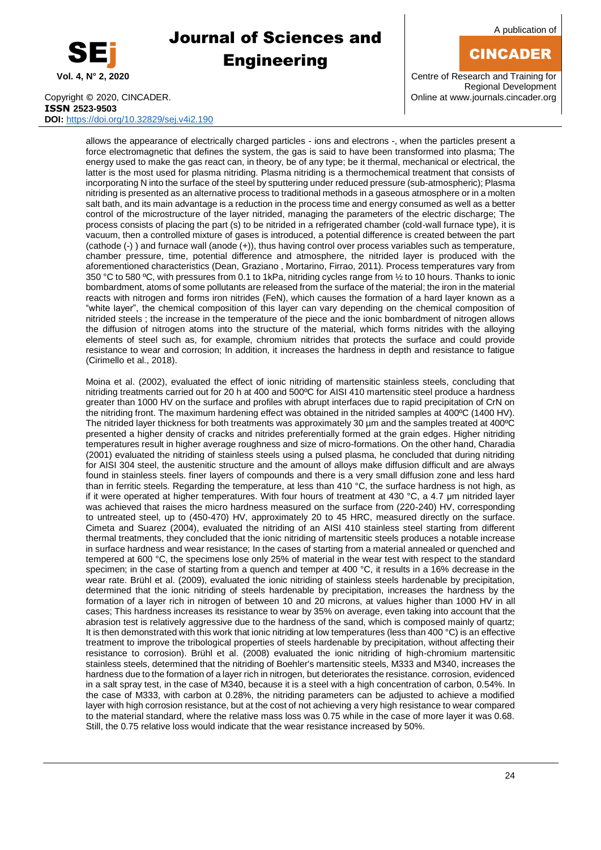

A publication of

### CINCADER

**Vol. 4, N° 2, 2020** Centre of Research and Training for Regional Development

Copyright © 2020, CINCADER. COME CONSERVENTING CONTROLLER CONTROLLER CONTROLLER CONTROLLER CONTROLLER CONTROLLER **ISSN 2523-9503 DOI:** <https://doi.org/10.32829/sej.v4i2.190>

allows the appearance of electrically charged particles - ions and electrons -, when the particles present a force electromagnetic that defines the system, the gas is said to have been transformed into plasma; The energy used to make the gas react can, in theory, be of any type; be it thermal, mechanical or electrical, the latter is the most used for plasma nitriding. Plasma nitriding is a thermochemical treatment that consists of incorporating N into the surface of the steel by sputtering under reduced pressure (sub-atmospheric); Plasma nitriding is presented as an alternative process to traditional methods in a gaseous atmosphere or in a molten salt bath, and its main advantage is a reduction in the process time and energy consumed as well as a better control of the microstructure of the layer nitrided, managing the parameters of the electric discharge; The process consists of placing the part (s) to be nitrided in a refrigerated chamber (cold-wall furnace type), it is vacuum, then a controlled mixture of gases is introduced, a potential difference is created between the part (cathode (-) ) and furnace wall (anode (+)), thus having control over process variables such as temperature, chamber pressure, time, potential difference and atmosphere, the nitrided layer is produced with the aforementioned characteristics (Dean, Graziano , Mortarino, Firrao, 2011). Process temperatures vary from 350 °C to 580 ºC, with pressures from 0.1 to 1kPa, nitriding cycles range from ½ to 10 hours. Thanks to ionic bombardment, atoms of some pollutants are released from the surface of the material; the iron in the material reacts with nitrogen and forms iron nitrides (FeN), which causes the formation of a hard layer known as a "white layer", the chemical composition of this layer can vary depending on the chemical composition of nitrided steels ; the increase in the temperature of the piece and the ionic bombardment of nitrogen allows the diffusion of nitrogen atoms into the structure of the material, which forms nitrides with the alloying elements of steel such as, for example, chromium nitrides that protects the surface and could provide resistance to wear and corrosion; In addition, it increases the hardness in depth and resistance to fatigue (Cirimello et al., 2018).

Moina et al. (2002), evaluated the effect of ionic nitriding of martensitic stainless steels, concluding that nitriding treatments carried out for 20 h at 400 and 500ºC for AISI 410 martensitic steel produce a hardness greater than 1000 HV on the surface and profiles with abrupt interfaces due to rapid precipitation of CrN on the nitriding front. The maximum hardening effect was obtained in the nitrided samples at 400°C (1400 HV). The nitrided layer thickness for both treatments was approximately 30 µm and the samples treated at 400°C presented a higher density of cracks and nitrides preferentially formed at the grain edges. Higher nitriding temperatures result in higher average roughness and size of micro-formations. On the other hand, Charadia (2001) evaluated the nitriding of stainless steels using a pulsed plasma, he concluded that during nitriding for AISI 304 steel, the austenitic structure and the amount of alloys make diffusion difficult and are always found in stainless steels. finer layers of compounds and there is a very small diffusion zone and less hard than in ferritic steels. Regarding the temperature, at less than 410 °C, the surface hardness is not high, as if it were operated at higher temperatures. With four hours of treatment at 430 °C, a 4.7 μm nitrided layer was achieved that raises the micro hardness measured on the surface from (220-240) HV, corresponding to untreated steel, up to (450-470) HV, approximately 20 to 45 HRC, measured directly on the surface. Cimeta and Suarez (2004), evaluated the nitriding of an AISI 410 stainless steel starting from different thermal treatments, they concluded that the ionic nitriding of martensitic steels produces a notable increase in surface hardness and wear resistance; In the cases of starting from a material annealed or quenched and tempered at 600 °C, the specimens lose only 25% of material in the wear test with respect to the standard specimen; in the case of starting from a quench and temper at 400 °C, it results in a 16% decrease in the wear rate. Brühl et al. (2009), evaluated the ionic nitriding of stainless steels hardenable by precipitation, determined that the ionic nitriding of steels hardenable by precipitation, increases the hardness by the formation of a layer rich in nitrogen of between 10 and 20 microns, at values higher than 1000 HV in all cases; This hardness increases its resistance to wear by 35% on average, even taking into account that the abrasion test is relatively aggressive due to the hardness of the sand, which is composed mainly of quartz; It is then demonstrated with this work that ionic nitriding at low temperatures (less than 400 °C) is an effective treatment to improve the tribological properties of steels hardenable by precipitation, without affecting their resistance to corrosion). Brühl et al. (2008) evaluated the ionic nitriding of high-chromium martensitic stainless steels, determined that the nitriding of Boehler's martensitic steels, M333 and M340, increases the hardness due to the formation of a layer rich in nitrogen, but deteriorates the resistance. corrosion, evidenced in a salt spray test, in the case of M340, because it is a steel with a high concentration of carbon, 0.54%. In the case of M333, with carbon at 0.28%, the nitriding parameters can be adjusted to achieve a modified layer with high corrosion resistance, but at the cost of not achieving a very high resistance to wear compared to the material standard, where the relative mass loss was 0.75 while in the case of more layer it was 0.68. Still, the 0.75 relative loss would indicate that the wear resistance increased by 50%.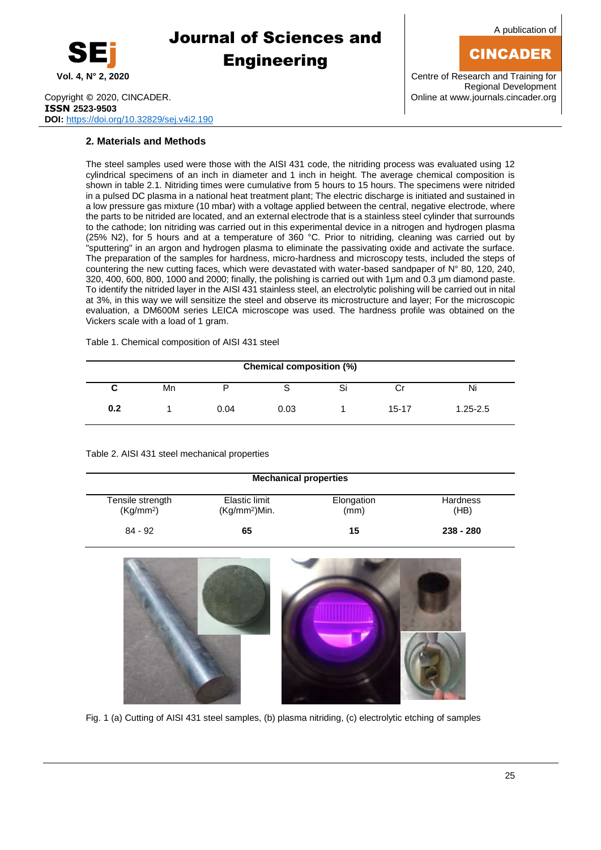

A publication of

## CINCADER

**Vol. 4, N° 2, 2020** Centre of Research and Training for Regional Development

Copyright © 2020, CINCADER. COME CONSERVERSITY CONFIDENTIAL CONSERVERSITY Online a[t www.journals.cincader.org](http://www.journals.cincader.org/) **ISSN 2523-9503 DOI:** <https://doi.org/10.32829/sej.v4i2.190>

### **2. Materials and Methods**

The steel samples used were those with the AISI 431 code, the nitriding process was evaluated using 12 cylindrical specimens of an inch in diameter and 1 inch in height. The average chemical composition is shown in table 2.1. Nitriding times were cumulative from 5 hours to 15 hours. The specimens were nitrided in a pulsed DC plasma in a national heat treatment plant; The electric discharge is initiated and sustained in a low pressure gas mixture (10 mbar) with a voltage applied between the central, negative electrode, where the parts to be nitrided are located, and an external electrode that is a stainless steel cylinder that surrounds to the cathode; Ion nitriding was carried out in this experimental device in a nitrogen and hydrogen plasma (25% N2), for 5 hours and at a temperature of 360 °C. Prior to nitriding, cleaning was carried out by "sputtering" in an argon and hydrogen plasma to eliminate the passivating oxide and activate the surface. The preparation of the samples for hardness, micro-hardness and microscopy tests, included the steps of countering the new cutting faces, which were devastated with water-based sandpaper of N° 80, 120, 240, 320, 400, 600, 800, 1000 and 2000; finally, the polishing is carried out with 1μm and 0.3 μm diamond paste. To identify the nitrided layer in the AISI 431 stainless steel, an electrolytic polishing will be carried out in nital at 3%, in this way we will sensitize the steel and observe its microstructure and layer; For the microscopic evaluation, a DM600M series LEICA microscope was used. The hardness profile was obtained on the Vickers scale with a load of 1 gram.

Table 1. Chemical composition of AISI 431 steel

| Chemical composition (%) |    |      |      |  |       |              |  |
|--------------------------|----|------|------|--|-------|--------------|--|
| v                        | Mn |      |      |  | U     | Ni           |  |
| 0.2                      |    | 0.04 | 0.03 |  | 15-17 | $1.25 - 2.5$ |  |

Table 2. AISI 431 steel mechanical properties

| <b>Mechanical properties</b>              |                                            |                    |                         |  |  |  |
|-------------------------------------------|--------------------------------------------|--------------------|-------------------------|--|--|--|
| Tensile strength<br>(Kg/mm <sup>2</sup> ) | Elastic limit<br>(Kg/mm <sup>2</sup> )Min. | Elongation<br>(mm) | <b>Hardness</b><br>(HB) |  |  |  |
| $84 - 92$                                 | 65                                         | 15                 | $238 - 280$             |  |  |  |



Fig. 1 (a) Cutting of AISI 431 steel samples, (b) plasma nitriding, (c) electrolytic etching of samples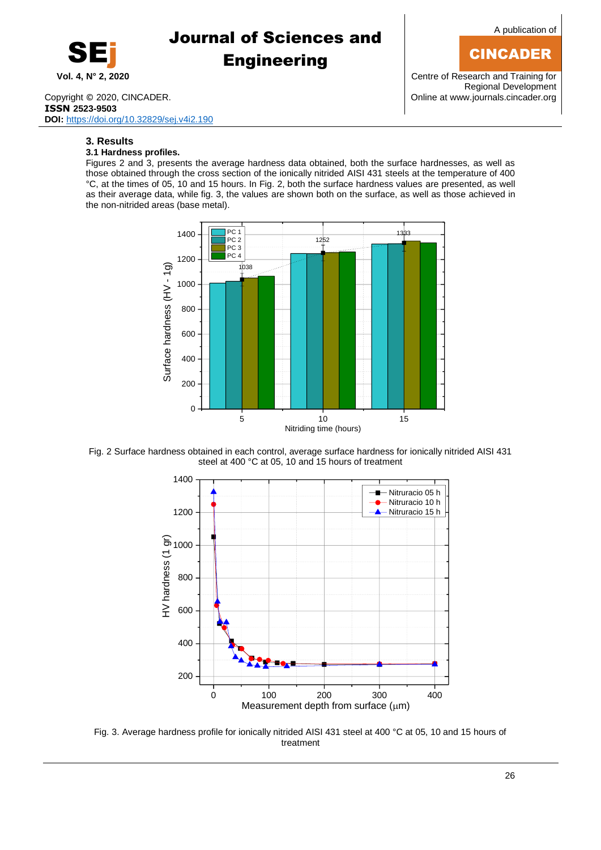

Copyright © 2020, CINCADER. COME CONSERVERSITY CONFIDENTIAL CONTRACT CONSERVERSITY Online a[t www.journals.cincader.org](http://www.journals.cincader.org/) **ISSN 2523-9503 DOI:** <https://doi.org/10.32829/sej.v4i2.190>

### **3. Results**

### **3.1 Hardness profiles.**

Figures 2 and 3, presents the average hardness data obtained, both the surface hardnesses, as well as those obtained through the cross section of the ionically nitrided AISI 431 steels at the temperature of 400 °C, at the times of 05, 10 and 15 hours. In Fig. 2, both the surface hardness values are presented, as well as their average data, while fig. 3, the values are shown both on the surface, as well as those achieved in the non-nitrided areas (base metal).



Fig. 2 Surface hardness obtained in each control, average surface hardness for ionically nitrided AISI 431 steel at 400 °C at 05, 10 and 15 hours of treatment



Fig. 3. Average hardness profile for ionically nitrided AISI 431 steel at 400 °C at 05, 10 and 15 hours of treatment

A publication of

### CINCADER

**Vol. 4, N° 2, 2020** Centre of Research and Training for Regional Development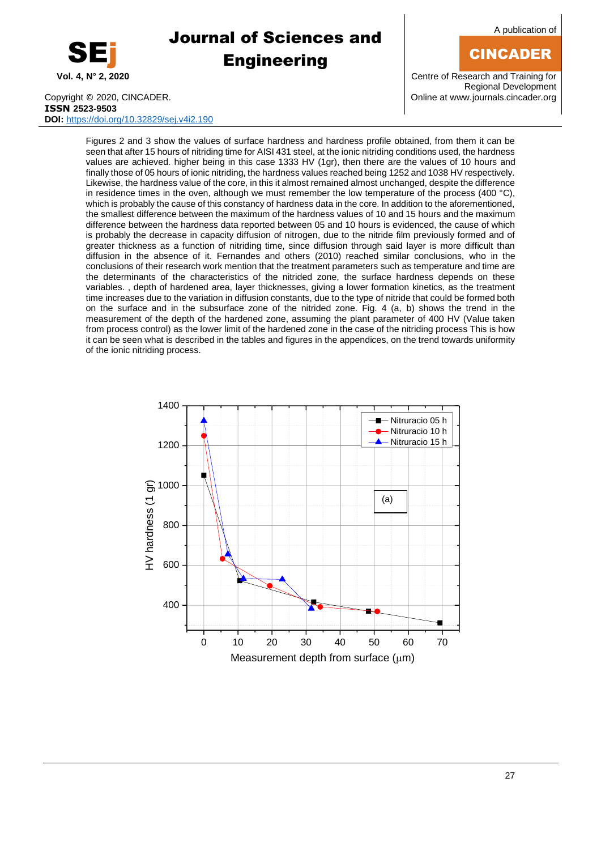

A publication of

### CINCADER

**Vol. 4, N° 2, 2020** Centre of Research and Training for Regional Development

Copyright © 2020, CINCADER. COME CONSERVERSITY CONFIDENTIAL CONSERVERSITY Online a[t www.journals.cincader.org](http://www.journals.cincader.org/) **ISSN 2523-9503 DOI:** <https://doi.org/10.32829/sej.v4i2.190>

Figures 2 and 3 show the values of surface hardness and hardness profile obtained, from them it can be seen that after 15 hours of nitriding time for AISI 431 steel, at the ionic nitriding conditions used, the hardness values are achieved. higher being in this case 1333 HV (1gr), then there are the values of 10 hours and finally those of 05 hours of ionic nitriding, the hardness values reached being 1252 and 1038 HV respectively. Likewise, the hardness value of the core, in this it almost remained almost unchanged, despite the difference in residence times in the oven, although we must remember the low temperature of the process (400 °C), which is probably the cause of this constancy of hardness data in the core. In addition to the aforementioned, the smallest difference between the maximum of the hardness values of 10 and 15 hours and the maximum difference between the hardness data reported between 05 and 10 hours is evidenced, the cause of which is probably the decrease in capacity diffusion of nitrogen, due to the nitride film previously formed and of greater thickness as a function of nitriding time, since diffusion through said layer is more difficult than diffusion in the absence of it. Fernandes and others (2010) reached similar conclusions, who in the conclusions of their research work mention that the treatment parameters such as temperature and time are the determinants of the characteristics of the nitrided zone, the surface hardness depends on these variables. , depth of hardened area, layer thicknesses, giving a lower formation kinetics, as the treatment time increases due to the variation in diffusion constants, due to the type of nitride that could be formed both on the surface and in the subsurface zone of the nitrided zone. Fig. 4 (a, b) shows the trend in the measurement of the depth of the hardened zone, assuming the plant parameter of 400 HV (Value taken from process control) as the lower limit of the hardened zone in the case of the nitriding process This is how it can be seen what is described in the tables and figures in the appendices, on the trend towards uniformity of the ionic nitriding process.

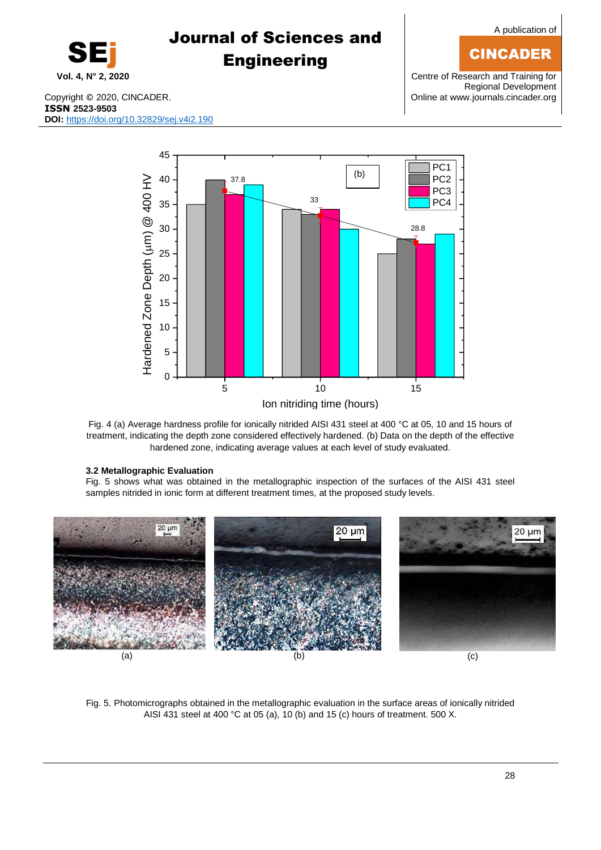28

## A publication of

### CINCADER

**Vol. 4, N° 2, 2020** Centre of Research and Training for Regional Development

Copyright © 2020, CINCADER. COME CONSERVERSITY CONFIDENTIAL CONTRACT CONSERVERSITY Online a[t www.journals.cincader.org](http://www.journals.cincader.org/) **ISSN 2523-9503 DOI:** <https://doi.org/10.32829/sej.v4i2.190>

Fig. 4 (a) Average hardness profile for ionically nitrided AISI 431 steel at 400 °C at 05, 10 and 15 hours of treatment, indicating the depth zone considered effectively hardened. (b) Data on the depth of the effective hardened zone, indicating average values at each level of study evaluated.

#### **3.2 Metallographic Evaluation**

 $20 \text{ µm}$ 

Fig. 5 shows what was obtained in the metallographic inspection of the surfaces of the AISI 431 steel samples nitrided in ionic form at different treatment times, at the proposed study levels.

 $20 \mu m$ 

Fig. 5. Photomicrographs obtained in the metallographic evaluation in the surface areas of ionically nitrided AISI 431 steel at 400 °C at 05 (a), 10 (b) and 15 (c) hours of treatment. 500 X.

(a)  $(a)$  (b)  $(c)$ 



Journal of Sciences and

**Engineering** 

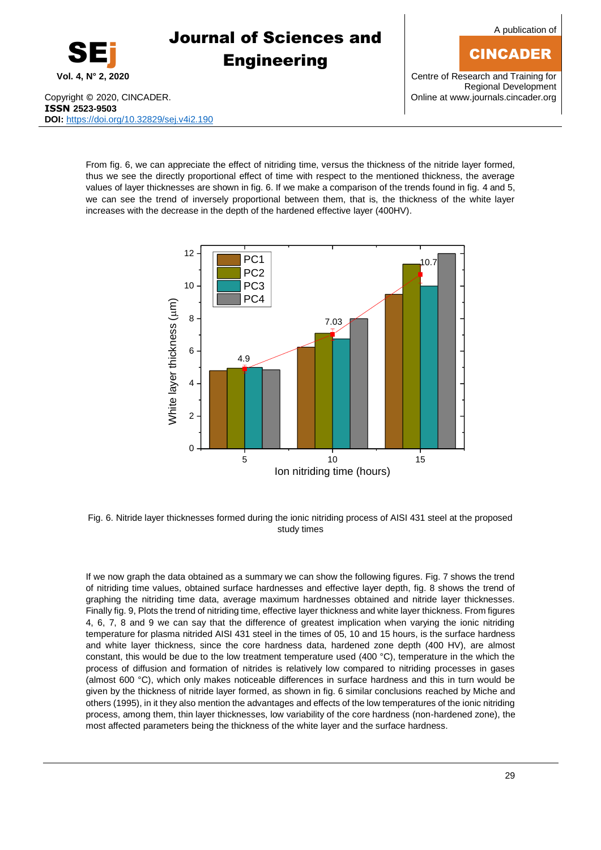A publication of

### CINCADER

Copyright © 2020, CINCADER. COME CONSERVENTING CONSERVENTING CONSERVENTING CONSERVENTING CONSERVENTING CONSERVENTING CONSERVENTING CONSERVENTING CONSERVENTING CONSERVENTING CONSERVENTING CONSERVENTING CONSERVENTING CONSERV **ISSN 2523-9503 DOI:** <https://doi.org/10.32829/sej.v4i2.190>

**Vol. 4, N° 2, 2020** Centre of Research and Training for Regional Development

From fig. 6, we can appreciate the effect of nitriding time, versus the thickness of the nitride layer formed, thus we see the directly proportional effect of time with respect to the mentioned thickness, the average values of layer thicknesses are shown in fig. 6. If we make a comparison of the trends found in fig. 4 and 5, we can see the trend of inversely proportional between them, that is, the thickness of the white layer increases with the decrease in the depth of the hardened effective layer (400HV).



Fig. 6. Nitride layer thicknesses formed during the ionic nitriding process of AISI 431 steel at the proposed study times

If we now graph the data obtained as a summary we can show the following figures. Fig. 7 shows the trend of nitriding time values, obtained surface hardnesses and effective layer depth, fig. 8 shows the trend of graphing the nitriding time data, average maximum hardnesses obtained and nitride layer thicknesses. Finally fig. 9, Plots the trend of nitriding time, effective layer thickness and white layer thickness. From figures 4, 6, 7, 8 and 9 we can say that the difference of greatest implication when varying the ionic nitriding temperature for plasma nitrided AISI 431 steel in the times of 05, 10 and 15 hours, is the surface hardness and white layer thickness, since the core hardness data, hardened zone depth (400 HV), are almost constant, this would be due to the low treatment temperature used (400 °C), temperature in the which the process of diffusion and formation of nitrides is relatively low compared to nitriding processes in gases (almost 600 °C), which only makes noticeable differences in surface hardness and this in turn would be given by the thickness of nitride layer formed, as shown in fig. 6 similar conclusions reached by Miche and others (1995), in it they also mention the advantages and effects of the low temperatures of the ionic nitriding process, among them, thin layer thicknesses, low variability of the core hardness (non-hardened zone), the most affected parameters being the thickness of the white layer and the surface hardness.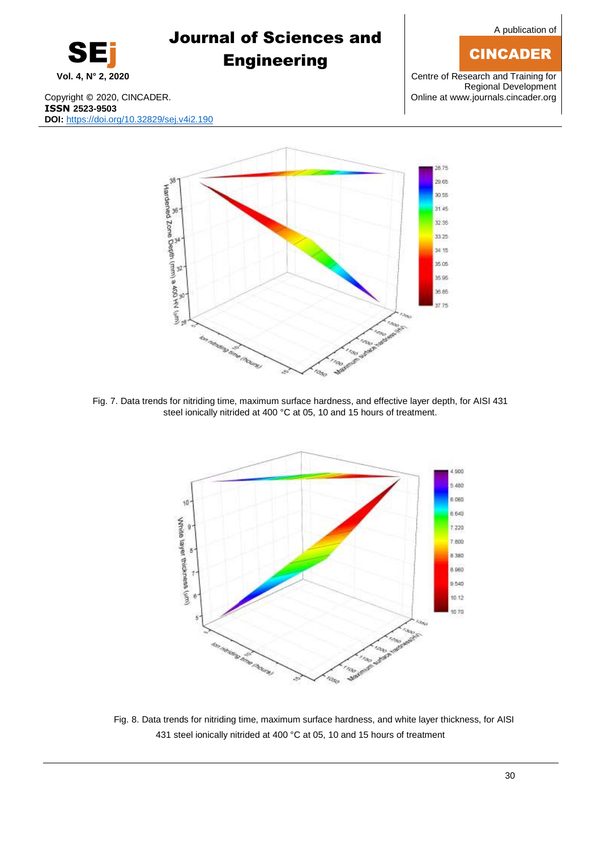## **CINCADER**

SEj

# Journal of Sciences and **Engineering**

**Vol. 4, N° 2, 2020** Centre of Research and Training for Regional Development

Copyright © 2020, CINCADER. COPYRIGHT COPYRIGHT COPYRIGHT COPYRIGHT COPYRIGHT COPYRIGHT COPYRIGHT COPYRIGHT COPYRIGHT COPYRIGHT COPYRIGHT COPYRIGHT COPYRIGHT COPYRIGHT COPYRIGHT COPYRIGHT COPYRIGHT COPYRIGHT COPYRIGHT COPY **ISSN 2523-9503 DOI:** <https://doi.org/10.32829/sej.v4i2.190>



Fig. 7. Data trends for nitriding time, maximum surface hardness, and effective layer depth, for AISI 431 steel ionically nitrided at 400 °C at 05, 10 and 15 hours of treatment.



Fig. 8. Data trends for nitriding time, maximum surface hardness, and white layer thickness, for AISI 431 steel ionically nitrided at 400 °C at 05, 10 and 15 hours of treatment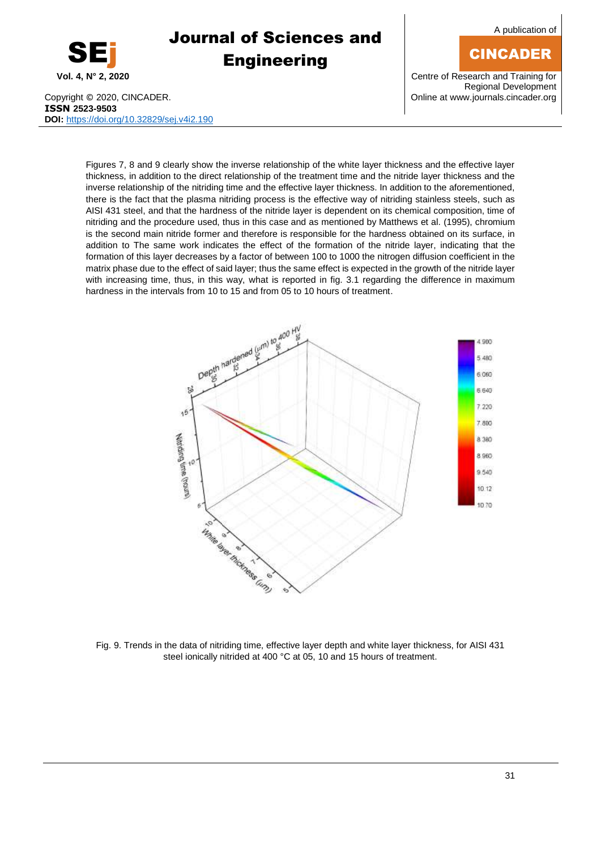

A publication of

## **CINCADER**

**Vol. 4, N° 2, 2020** Centre of Research and Training for Regional Development

Copyright © 2020, CINCADER. COMEXADER CONSULTER CONSULTER CONSUMING A UNIT CONTRACT CONSUMING A UNIT CONTRACT CON **ISSN 2523-9503 DOI:** <https://doi.org/10.32829/sej.v4i2.190>

Figures 7, 8 and 9 clearly show the inverse relationship of the white layer thickness and the effective layer thickness, in addition to the direct relationship of the treatment time and the nitride layer thickness and the inverse relationship of the nitriding time and the effective layer thickness. In addition to the aforementioned, there is the fact that the plasma nitriding process is the effective way of nitriding stainless steels, such as AISI 431 steel, and that the hardness of the nitride layer is dependent on its chemical composition, time of nitriding and the procedure used, thus in this case and as mentioned by Matthews et al. (1995), chromium is the second main nitride former and therefore is responsible for the hardness obtained on its surface, in addition to The same work indicates the effect of the formation of the nitride layer, indicating that the formation of this layer decreases by a factor of between 100 to 1000 the nitrogen diffusion coefficient in the matrix phase due to the effect of said layer; thus the same effect is expected in the growth of the nitride layer with increasing time, thus, in this way, what is reported in fig. 3.1 regarding the difference in maximum hardness in the intervals from 10 to 15 and from 05 to 10 hours of treatment.



Fig. 9. Trends in the data of nitriding time, effective layer depth and white layer thickness, for AISI 431 steel ionically nitrided at 400 °C at 05, 10 and 15 hours of treatment.